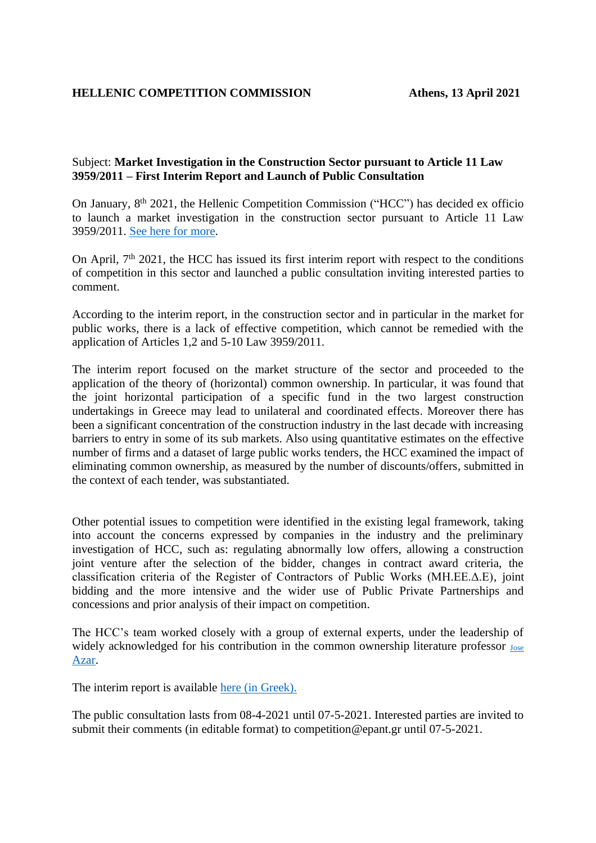## Subject: **Market Investigation in the Construction Sector pursuant to Article 11 Law 3959/2011 – First Interim Report and Launch of Public Consultation**

On January, 8<sup>th</sup> 2021, the Hellenic Competition Commission ("HCC") has decided ex officio to launch a market investigation in the construction sector pursuant to Article 11 Law 3959/2011. See [here for more.](https://www.epant.gr/en/enimerosi/press-releases/item/1269-press-release-initiation-of-the-procedure-referred-to-in-article-11-of-law-3959-2011-regulatory-intervention-in-the-construction-sector.html)

On April,  $7<sup>th</sup>$  2021, the HCC has issued its first interim report with respect to the conditions of competition in this sector and launched a public consultation inviting interested parties to comment.

According to the interim report, in the construction sector and in particular in the market for public works, there is a lack of effective competition, which cannot be remedied with the application of Articles 1,2 and 5-10 Law 3959/2011.

The interim report focused on the market structure of the sector and proceeded to the application of the theory of (horizontal) common ownership. In particular, it was found that the joint horizontal participation of a specific fund in the two largest construction undertakings in Greece may lead to unilateral and coordinated effects. Moreover there has been a significant concentration of the construction industry in the last decade with increasing barriers to entry in some of its sub markets. Also using quantitative estimates on the effective number of firms and a dataset of large public works tenders, the HCC examined the impact of eliminating common ownership, as measured by the number of discounts/offers, submitted in the context of each tender, was substantiated.

Other potential issues to competition were identified in the existing legal framework, taking into account the concerns expressed by companies in the industry and the preliminary investigation of HCC, such as: regulating abnormally low offers, allowing a construction joint venture after the selection of the bidder, changes in contract award criteria, the classification criteria of the Register of Contractors of Public Works (ΜΗ.ΕΕ.Δ.Ε), joint bidding and the more intensive and the wider use of Public Private Partnerships and concessions and prior analysis of their impact on competition.

The HCC's team worked closely with a group of external experts, under the leadership of widely acknowledged for his contribution in the common ownership literature professor [Jose](https://www.iese.edu/faculty-research/faculty/jose-azar/) [Azar.](https://www.iese.edu/faculty-research/faculty/jose-azar/)

The interim report is available [here \(in Greek\).](https://www.epant.gr/files/2021/kanonistiki/apopseis_ea_kanonistiki_kataskeves.pdf)

The public consultation lasts from 08-4-2021 until 07-5-2021. Interested parties are invited to submit their comments (in editable format) to competition@epant.gr until 07-5-2021.